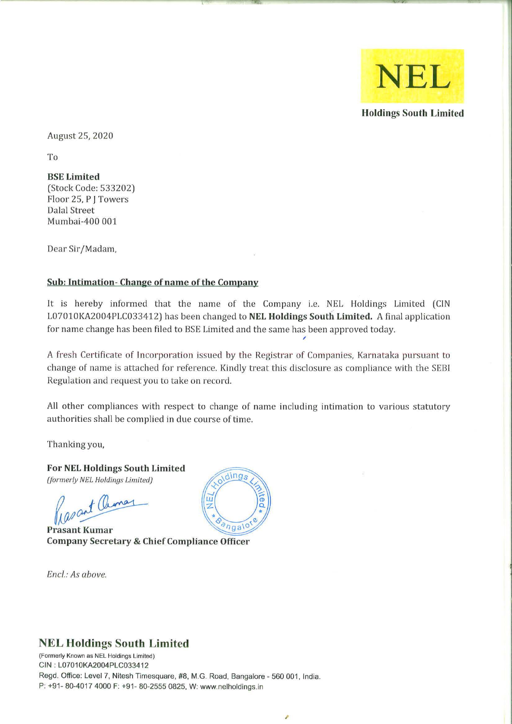

Holdings South Limited

August 25,2020

To

BSE Limited (Stock Code: 533202) Floor 25, P J Towers Dalal Street Mumbai-400 001

Dear Sir/Madam,

## Sub: Intimation- Change of name of the Company

It is hereby informed that the name of the Company i.e. NEL Holdings Limited (CIN L07010KA2004PLC033412) has been changed to NEL Holdings South Limited. A final application for name change has been filed to BSE Limited and the same has been approved today.

A fresh Certificate of Incorporation issued by the Registrar of Companies, Karnataka pursuant to change of name is attached for reference. Kindly treat this disclosure as compliance with the SEBI Regulation and request you to take on record.

All other compliances with respect to change of name including intimation to various statutory authorities shall be complied in due course of time.

Thanking you,

For NEL Holdings South Limited *(formerly NEL Holdings Limited)* 

Rasant Chiman

**Prasant Kumar Company Secretary & Chief Compliance Officer** 

*Enci.: As above.* 



## NEL Holdings South Limited

(Formerly Known as NEl Holdings Limited) CIN: L07010KA2004PLC033412 Regd. Office: Level 7, Nitesh Timesquare, #8, M.G. Road. Bangalore - 560 001, India. P: +91- 80-4017 4000 F: +91- 80-2555 0825. W: www.nelholdings.in